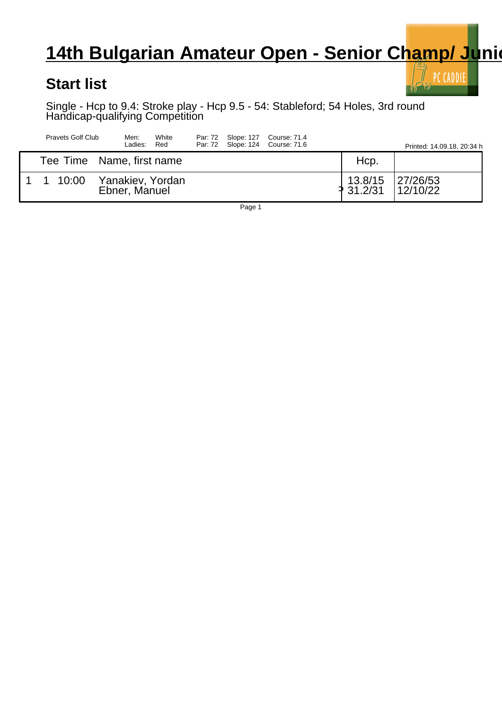## **14th Bulgarian Amateur Open - Senior Champ/ Junion**

## **Start list**

 $\bar{\mathbb{I}}$  PC CADDIE  $\boldsymbol{\theta}$ 

Single - Hcp to 9.4: Stroke play - Hcp 9.5 - 54: Stableford; 54 Holes, 3rd round Handicap-qualifying Competition

| Pravets Golf Club |                           |  | Men:<br>Ladies: | White<br>Red     |  | Par: 72 Slope: 127 Course: 71.4<br>Par: 72 Slope: 124 Course: 71.6 | Printed: 14.09.18, 20:34 h |                      |                      |
|-------------------|---------------------------|--|-----------------|------------------|--|--------------------------------------------------------------------|----------------------------|----------------------|----------------------|
|                   | Tee Time Name, first name |  |                 |                  |  |                                                                    |                            | Hcp.                 |                      |
|                   | 1 1 10:00                 |  | Ebner, Manuel   | Yanakiev, Yordan |  |                                                                    |                            | 13.8/15<br>₹ 31.2/31 | 27/26/53<br>12/10/22 |

Page 1